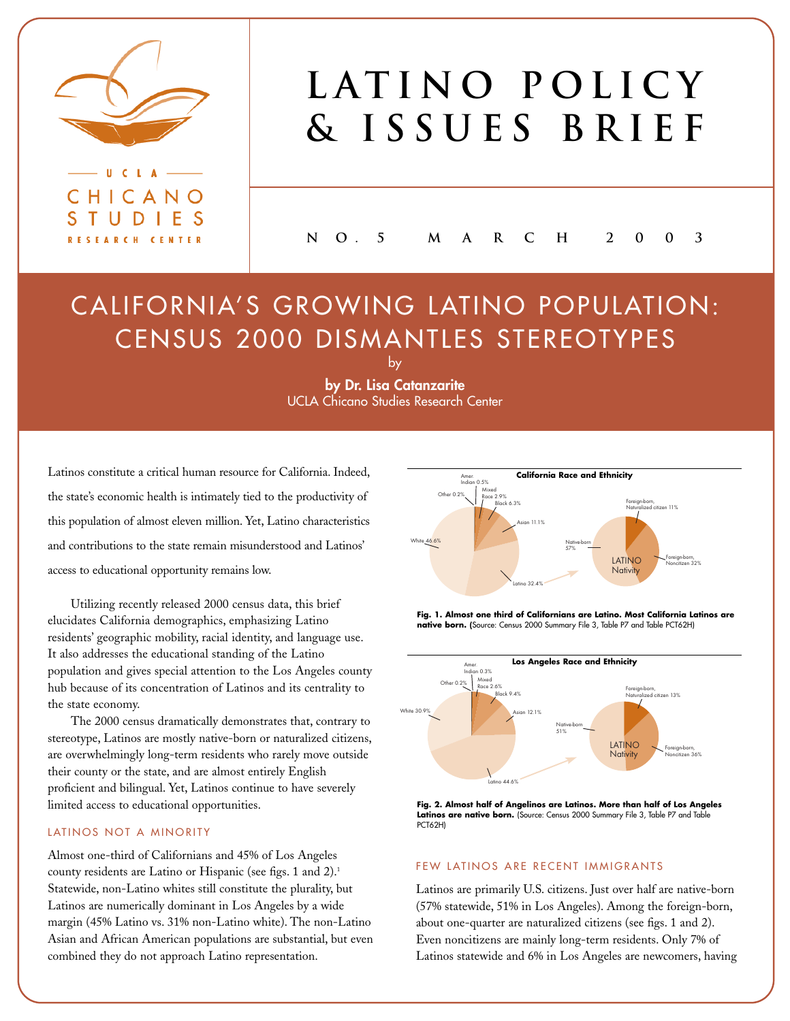

CHICANO STUDIES RESEARCH CENTER

 $\epsilon$  $\mathbf{L}$   $\mathbf{\Lambda}$ 

# LATINO POLICY **& Issues Brief**

**N O . 5 M A RCH 2003**

## CALIFORNIA'S GROWING LATINO POPULATION: CENSUS 2000 DISMANTLES STEREOTYPES

**by Dr. Lisa Catanzarite** UCLA Chicano Studies Research Center

by

Latinos constitute a critical human resource for California. Indeed, the state's economic health is intimately tied to the productivity of this population of almost eleven million. Yet, Latino characteristics and contributions to the state remain misunderstood and Latinos' access to educational opportunity remains low.

Utilizing recently released 2000 census data, this brief elucidates California demographics, emphasizing Latino residents' geographic mobility, racial identity, and language use. It also addresses the educational standing of the Latino population and gives special attention to the Los Angeles county hub because of its concentration of Latinos and its centrality to the state economy.

The 2000 census dramatically demonstrates that, contrary to stereotype, Latinos are mostly native-born or naturalized citizens, are overwhelmingly long-term residents who rarely move outside their county or the state, and are almost entirely English proficient and bilingual. Yet, Latinos continue to have severely limited access to educational opportunities.

#### LATINOS NOT A MINORITY

Almost one-third of Californians and 45% of Los Angeles county residents are Latino or Hispanic (see figs. 1 and 2).<sup>1</sup> Statewide, non-Latino whites still constitute the plurality, but Latinos are numerically dominant in Los Angeles by a wide margin (45% Latino vs. 31% non-Latino white). The non-Latino Asian and African American populations are substantial, but even combined they do not approach Latino representation.



**Fig. 1. Almost one third of Californians are Latino. Most California Latinos are native born. (**Source: Census 2000 Summary File 3, Table P7 and Table PCT62H)



**Fig. 2. Almost half of Angelinos are Latinos. More than half of Los Angeles** Latinos are native born. (Source: Census 2000 Summary File 3, Table P7 and Table PCT62H)

#### FEW LATINOS ARE RECENT IMMIGRANTS

Latinos are primarily U.S. citizens. Just over half are native-born (57% statewide, 51% in Los Angeles). Among the foreign-born, about one-quarter are naturalized citizens (see figs. 1 and 2). Even noncitizens are mainly long-term residents. Only 7% of Latinos statewide and 6% in Los Angeles are newcomers, having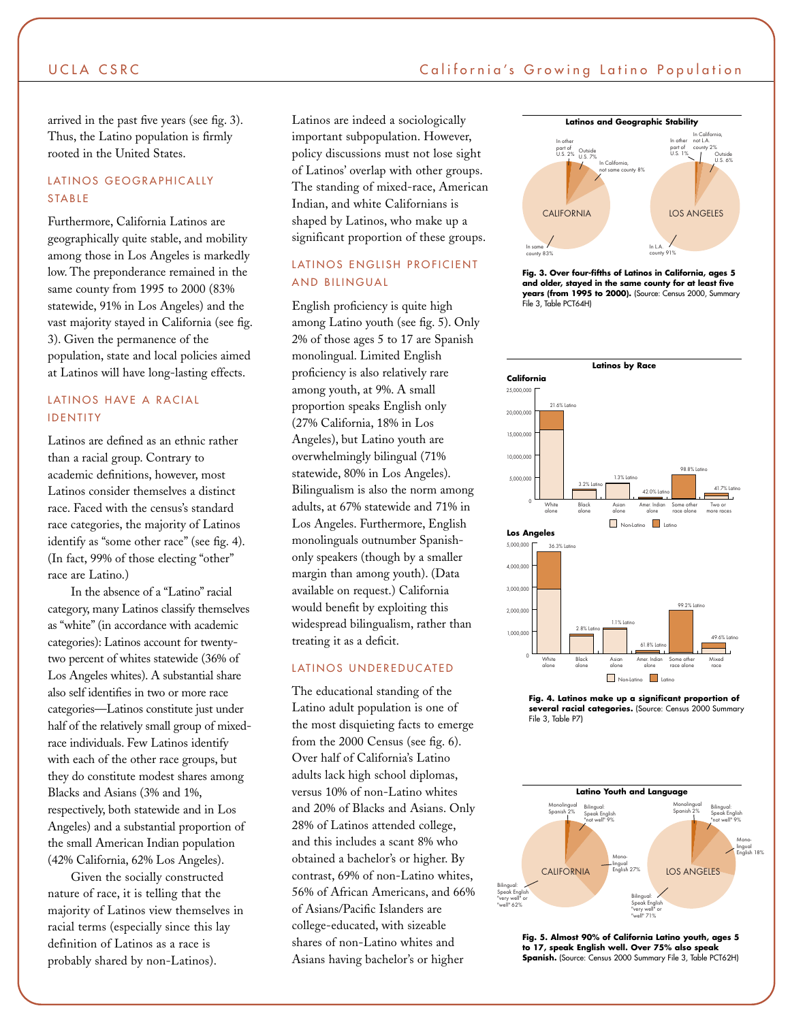#### UCLA CSRC **California's Growing Latino Population**

arrived in the past five years (see fig. 3). Thus, the Latino population is firmly rooted in the United States.

#### LATINOS GEOGRAPHICALLY STABLE

Furthermore, California Latinos are geographically quite stable, and mobility among those in Los Angeles is markedly low. The preponderance remained in the same county from 1995 to 2000 (83% statewide, 91% in Los Angeles) and the vast majority stayed in California (see fig. 3). Given the permanence of the population, state and local policies aimed at Latinos will have long-lasting effects.

#### LATINOS HAVE A RACIAL IDENTITY

Latinos are defined as an ethnic rather than a racial group. Contrary to academic definitions, however, most Latinos consider themselves a distinct race. Faced with the census's standard race categories, the majority of Latinos identify as "some other race" (see fig. 4). (In fact, 99% of those electing "other" race are Latino.)

In the absence of a "Latino" racial category, many Latinos classify themselves as "white" (in accordance with academic categories): Latinos account for twentytwo percent of whites statewide (36% of Los Angeles whites). A substantial share also self identifies in two or more race categories—Latinos constitute just under half of the relatively small group of mixedrace individuals. Few Latinos identify with each of the other race groups, but they do constitute modest shares among Blacks and Asians (3% and 1%, respectively, both statewide and in Los Angeles) and a substantial proportion of the small American Indian population (42% California, 62% Los Angeles).

Given the socially constructed nature of race, it is telling that the majority of Latinos view themselves in racial terms (especially since this lay definition of Latinos as a race is probably shared by non-Latinos).

Latinos are indeed a sociologically important subpopulation. However, policy discussions must not lose sight of Latinos' overlap with other groups. The standing of mixed-race, American Indian, and white Californians is shaped by Latinos, who make up a significant proportion of these groups.

#### LATINOS ENGLISH PROFICIENT AND BILINGUAL

English proficiency is quite high among Latino youth (see fig. 5). Only 2% of those ages 5 to 17 are Spanish monolingual. Limited English proficiency is also relatively rare among youth, at 9%. A small proportion speaks English only (27% California, 18% in Los Angeles), but Latino youth are overwhelmingly bilingual (71% statewide, 80% in Los Angeles). Bilingualism is also the norm among adults, at 67% statewide and 71% in Los Angeles. Furthermore, English monolinguals outnumber Spanishonly speakers (though by a smaller margin than among youth). (Data available on request.) California would benefit by exploiting this widespread bilingualism, rather than treating it as a deficit.

#### LATINOS UNDEREDUCATED

The educational standing of the Latino adult population is one of the most disquieting facts to emerge from the 2000 Census (see fig. 6). Over half of California's Latino adults lack high school diplomas, versus 10% of non-Latino whites and 20% of Blacks and Asians. Only 28% of Latinos attended college, and this includes a scant 8% who obtained a bachelor's or higher. By contrast, 69% of non-Latino whites, 56% of African Americans, and 66% of Asians/Pacific Islanders are college-educated, with sizeable shares of non-Latino whites and Asians having bachelor's or higher



**Fig. 3. Over four-fifths of Latinos in California, ages 5 and older, stayed in the same county for at least five years (from 1995 to 2000).** (Source: Census 2000, Summary File 3, Table PCT64H)



**Fig. 4. Latinos make up a significant proportion of several racial categories.** (Source: Census 2000 Summary File 3, Table P7)



**Fig. 5. Almost 90% of California Latino youth, ages 5 to 17, speak English well. Over 75% also speak Spanish.** (Source: Census 2000 Summary File 3, Table PCT62H)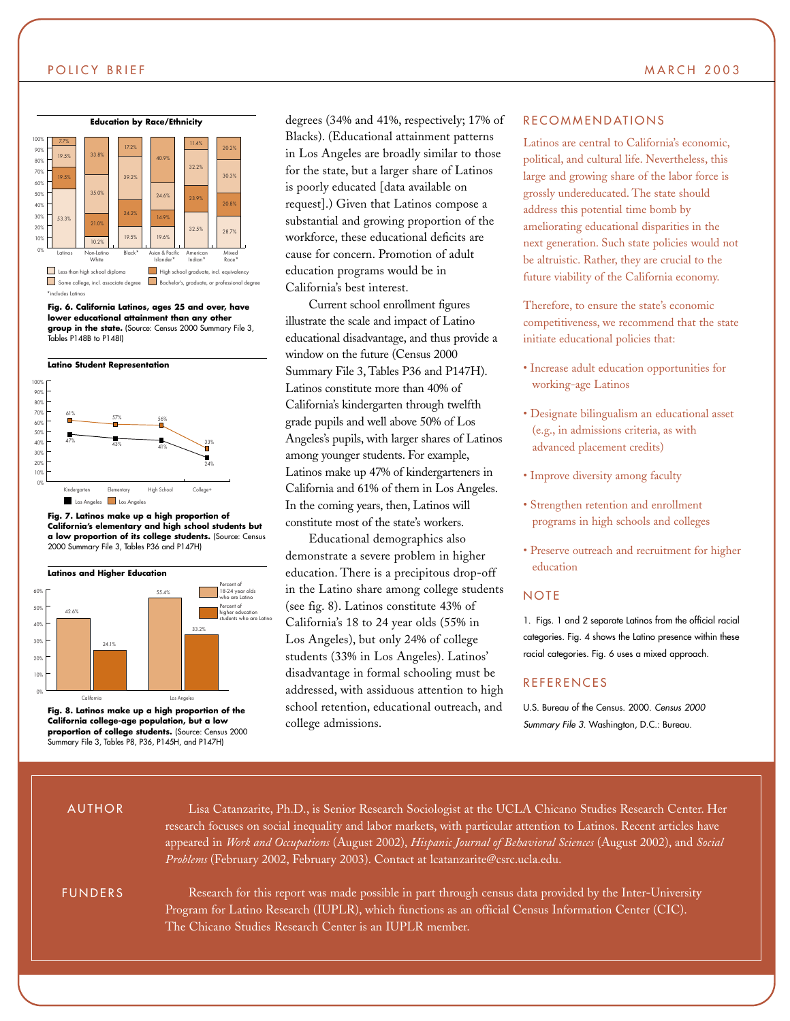#### POLICY BRIEF MARCH 2003



**Fig. 6. California Latinos, ages 25 and over, have lower educational attainment than any other group in the state.** (Source: Census 2000 Summary File 3, Tables P148B to P148I)



**Fig. 7. Latinos make up a high proportion of California's elementary and high school students but a low proportion of its college students.** (Source: Census 2000 Summary File 3, Tables P36 and P147H)



**Fig. 8. Latinos make up a high proportion of the California college-age population, but a low proportion of college students.** (Source: Census 2000 Summary File 3, Tables P8, P36, P145H, and P147H)

degrees (34% and 41%, respectively; 17% of Blacks). (Educational attainment patterns in Los Angeles are broadly similar to those for the state, but a larger share of Latinos is poorly educated [data available on request].) Given that Latinos compose a substantial and growing proportion of the workforce, these educational deficits are cause for concern. Promotion of adult education programs would be in California's best interest.

Current school enrollment figures illustrate the scale and impact of Latino educational disadvantage, and thus provide a window on the future (Census 2000 Summary File 3, Tables P36 and P147H). Latinos constitute more than 40% of California's kindergarten through twelfth grade pupils and well above 50% of Los Angeles's pupils, with larger shares of Latinos among younger students. For example, Latinos make up 47% of kindergarteners in California and 61% of them in Los Angeles. In the coming years, then, Latinos will constitute most of the state's workers.

Educational demographics also demonstrate a severe problem in higher education. There is a precipitous drop-off in the Latino share among college students (see fig. 8). Latinos constitute 43% of California's 18 to 24 year olds (55% in Los Angeles), but only 24% of college students (33% in Los Angeles). Latinos' disadvantage in formal schooling must be addressed, with assiduous attention to high school retention, educational outreach, and college admissions.

#### RECOMMENDATIONS

Latinos are central to California's economic, political, and cultural life. Nevertheless, this large and growing share of the labor force is grossly undereducated. The state should address this potential time bomb by ameliorating educational disparities in the next generation. Such state policies would not be altruistic. Rather, they are crucial to the future viability of the California economy.

Therefore, to ensure the state's economic competitiveness, we recommend that the state initiate educational policies that:

- Increase adult education opportunities for working-age Latinos
- Designate bilingualism an educational asset (e.g., in admissions criteria, as with advanced placement credits)
- Improve diversity among faculty
- Strengthen retention and enrollment programs in high schools and colleges
- Preserve outreach and recruitment for higher education

#### **NOTE**

1. Figs. 1 and 2 separate Latinos from the official racial categories. Fig. 4 shows the Latino presence within these racial categories. Fig. 6 uses a mixed approach.

#### REFERENCES

U.S. Bureau of the Census. 2000. *Census 2000 Summary File 3.* Washington, D.C.: Bureau.

#### AUTHOR

FUNDERS

Research for this report was made possible in part through census data provided by the Inter-University Program for Latino Research (IUPLR), which functions as an official Census Information Center (CIC).

Lisa Catanzarite, Ph.D., is Senior Research Sociologist at the UCLA Chicano Studies Research Center. Her research focuses on social inequality and labor markets, with particular attention to Latinos. Recent articles have appeared in *Work and Occupations* (August 2002), *Hispanic Journal of Behavioral Sciences* (August 2002), and *Social*

The Chicano Studies Research Center is an IUPLR member.

*Problems* (February 2002, February 2003). Contact at lcatanzarite@csrc.ucla.edu.